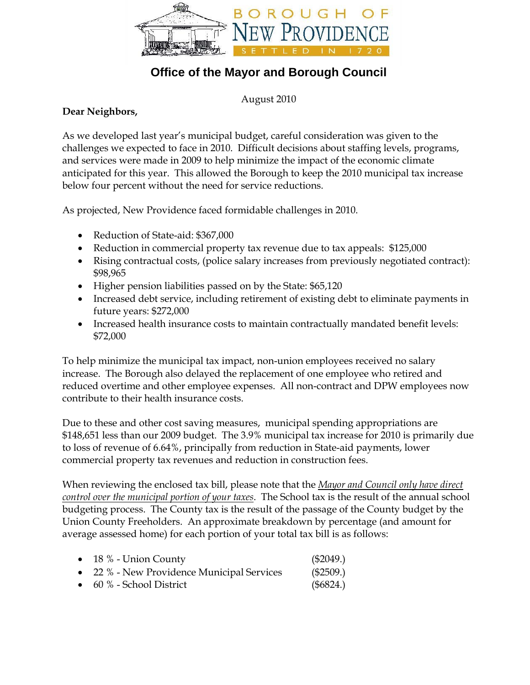

## **Office of the Mayor and Borough Council**

August 2010

## **Dear Neighbors,**

As we developed last year's municipal budget, careful consideration was given to the challenges we expected to face in 2010. Difficult decisions about staffing levels, programs, and services were made in 2009 to help minimize the impact of the economic climate anticipated for this year. This allowed the Borough to keep the 2010 municipal tax increase below four percent without the need for service reductions.

As projected, New Providence faced formidable challenges in 2010.

- Reduction of State-aid: \$367,000
- Reduction in commercial property tax revenue due to tax appeals: \$125,000
- Rising contractual costs, (police salary increases from previously negotiated contract): \$98,965
- Higher pension liabilities passed on by the State: \$65,120
- Increased debt service, including retirement of existing debt to eliminate payments in future years: \$272,000
- Increased health insurance costs to maintain contractually mandated benefit levels: \$72,000

To help minimize the municipal tax impact, non-union employees received no salary increase. The Borough also delayed the replacement of one employee who retired and reduced overtime and other employee expenses. All non-contract and DPW employees now contribute to their health insurance costs.

Due to these and other cost saving measures, municipal spending appropriations are \$148,651 less than our 2009 budget. The 3.9% municipal tax increase for 2010 is primarily due to loss of revenue of 6.64%, principally from reduction in State-aid payments, lower commercial property tax revenues and reduction in construction fees.

When reviewing the enclosed tax bill, please note that the *Mayor and Council only have direct control over the municipal portion of your taxes*. The School tax is the result of the annual school budgeting process. The County tax is the result of the passage of the County budget by the Union County Freeholders. An approximate breakdown by percentage (and amount for average assessed home) for each portion of your total tax bill is as follows:

| $\bullet$ 18 % - Union County              | $(\$2049.)$ |
|--------------------------------------------|-------------|
| • 22 % - New Providence Municipal Services | $(\$2509.)$ |
| $\bullet$ 60 % - School District           | $(\$6824.)$ |